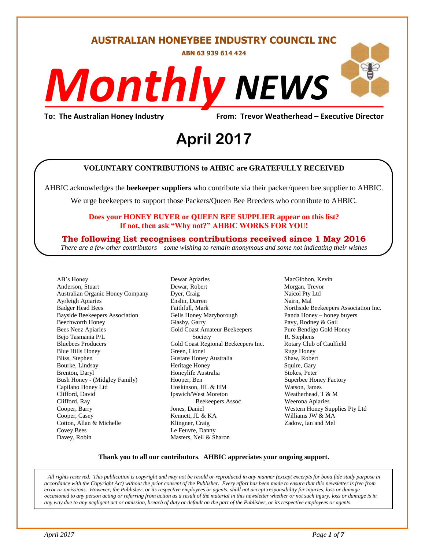#### **AUSTRALIAN HONEYBEE INDUSTRY COUNCIL INC**

**ABN 63 939 614 424**

# *NEWS Monthly*

**To: The Australian Honey Industry From: Trevor Weatherhead – Executive Director**

# *DS* **April 2017**

#### **VOLUNTARY CONTRIBUTIONS to AHBIC are GRATEFULLY RECEIVED**

AHBIC acknowledges the **beekeeper suppliers** who contribute via their packer/queen bee supplier to AHBIC.

We urge beekeepers to support those Packers/Queen Bee Breeders who contribute to AHBIC.

#### **Does your HONEY BUYER or QUEEN BEE SUPPLIER appear on this list? If not, then ask "Why not?" AHBIC WORKS FOR YOU!**

#### **The following list recognises contributions received since 1 May 2016**

*There are a few other contributors – some wishing to remain anonymous and some not indicating their wishes*

AB's Honey Anderson, Stuart Australian Organic Honey Company Ayrleigh Apiaries Badger Head Bees Bayside Beekeepers Association Beechworth Honey Bees Neez Apiaries Bejo Tasmania P/L Bluebees Producers Blue Hills Honey Bliss, Stephen Bourke, Lindsay Brenton, Daryl Bush Honey - (Midgley Family) Capilano Honey Ltd Clifford, David Clifford, Ray Cooper, Barry Cooper, Casey Cotton, Allan & Michelle Covey Bees Davey, Robin

Dewar Apiaries Dewar, Robert Dyer, Craig Enslin, Darren Faithfull, Mark Gells Honey Maryborough Glasby, Garry Gold Coast Amateur Beekeepers Society Gold Coast Regional Beekeepers Inc. Green, Lionel Gustare Honey Australia Heritage Honey Honeylife Australia Hooper, Ben Hoskinson, HL & HM Ipswich/West Moreton Beekeepers Assoc Jones, Daniel Kennett, JL & KA Klingner, Craig Le Feuvre, Danny Masters, Neil & Sharon

MacGibbon, Kevin Morgan, Trevor Naicol Pty Ltd Nairn, Mal Northside Beekeepers Association Inc. Panda Honey – honey buyers Pavy, Rodney & Gail Pure Bendigo Gold Honey R. Stephens Rotary Club of Caulfield Ruge Honey Shaw, Robert Squire, Gary Stokes, Peter Superbee Honey Factory Watson, James Weatherhead, T & M Weerona Apiaries Western Honey Supplies Pty Ltd Williams JW & MA Zadow, Ian and Mel

#### **Thank you to all our contributors***.* **AHBIC appreciates your ongoing support.**

*All rights reserved. This publication is copyright and may not be resold or reproduced in any manner (except excerpts for bona fide study purpose in accordance with the Copyright Act) without the prior consent of the Publisher. Every effort has been made to ensure that this newsletter is free from error or omissions. However, the Publisher, or its respective employees or agents, shall not accept responsibility for injuries, loss or damage occasioned to any person acting or referring from action as a result of the material in this newsletter whether or not such injury, loss or damage is in any way due to any negligent act or omission, breach of duty or default on the part of the Publisher, or its respective employees or agents.*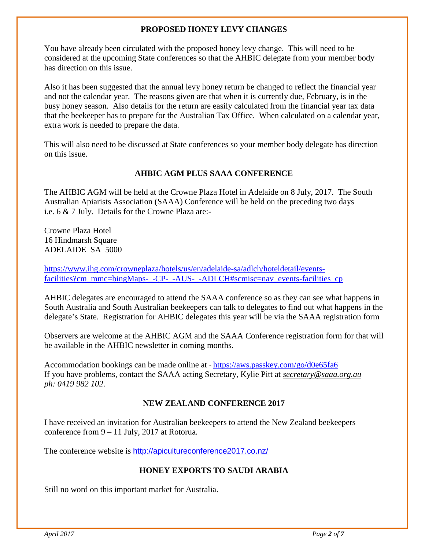#### **PROPOSED HONEY LEVY CHANGES**

You have already been circulated with the proposed honey levy change. This will need to be considered at the upcoming State conferences so that the AHBIC delegate from your member body has direction on this issue.

Also it has been suggested that the annual levy honey return be changed to reflect the financial year and not the calendar year. The reasons given are that when it is currently due, February, is in the busy honey season. Also details for the return are easily calculated from the financial year tax data that the beekeeper has to prepare for the Australian Tax Office. When calculated on a calendar year, extra work is needed to prepare the data.

This will also need to be discussed at State conferences so your member body delegate has direction on this issue.

#### **AHBIC AGM PLUS SAAA CONFERENCE**

The AHBIC AGM will be held at the Crowne Plaza Hotel in Adelaide on 8 July, 2017. The South Australian Apiarists Association (SAAA) Conference will be held on the preceding two days i.e. 6 & 7 July. Details for the Crowne Plaza are:-

Crowne Plaza Hotel 16 Hindmarsh Square ADELAIDE SA 5000

[https://www.ihg.com/crowneplaza/hotels/us/en/adelaide-sa/adlch/hoteldetail/events](https://www.ihg.com/crowneplaza/hotels/us/en/adelaide-sa/adlch/hoteldetail/events-facilities?cm_mmc=bingMaps-_-CP-_-AUS-_-ADLCH#scmisc=nav_events-facilities_cp)[facilities?cm\\_mmc=bingMaps-\\_-CP-\\_-AUS-\\_-ADLCH#scmisc=nav\\_events-facilities\\_cp](https://www.ihg.com/crowneplaza/hotels/us/en/adelaide-sa/adlch/hoteldetail/events-facilities?cm_mmc=bingMaps-_-CP-_-AUS-_-ADLCH#scmisc=nav_events-facilities_cp)

AHBIC delegates are encouraged to attend the SAAA conference so as they can see what happens in South Australia and South Australian beekeepers can talk to delegates to find out what happens in the delegate's State. Registration for AHBIC delegates this year will be via the SAAA registration form

Observers are welcome at the AHBIC AGM and the SAAA Conference registration form for that will be available in the AHBIC newsletter in coming months.

Accommodation bookings can be made online at - <https://aws.passkey.com/go/d0e65fa6> If you have problems, contact the SAAA acting Secretary, Kylie Pitt at *[secretary@saaa.org.au](mailto:secretary@saaa.org.au)  ph: 0419 982 102*.

#### **NEW ZEALAND CONFERENCE 2017**

I have received an invitation for Australian beekeepers to attend the New Zealand beekeepers conference from 9 – 11 July, 2017 at Rotorua.

The conference website is <http://apicultureconference2017.co.nz/>

#### **HONEY EXPORTS TO SAUDI ARABIA**

Still no word on this important market for Australia.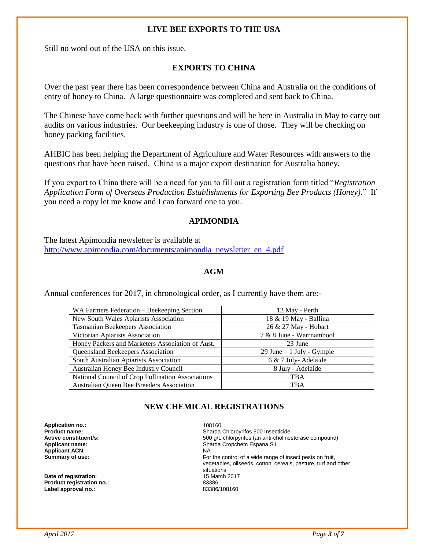#### **LIVE BEE EXPORTS TO THE USA**

Still no word out of the USA on this issue.

#### **EXPORTS TO CHINA**

Over the past year there has been correspondence between China and Australia on the conditions of entry of honey to China. A large questionnaire was completed and sent back to China.

The Chinese have come back with further questions and will be here in Australia in May to carry out audits on various industries. Our beekeeping industry is one of those. They will be checking on honey packing facilities.

AHBIC has been helping the Department of Agriculture and Water Resources with answers to the questions that have been raised. China is a major export destination for Australia honey.

If you export to China there will be a need for you to fill out a registration form titled "*Registration Application Form of Overseas Production Establishments for Exporting Bee Products (Honey)*." If you need a copy let me know and I can forward one to you.

#### **APIMONDIA**

The latest Apimondia newsletter is available at [http://www.apimondia.com/documents/apimondia\\_newsletter\\_en\\_4.pdf](http://www.apimondia.com/documents/apimondia_newsletter_en_4.pdf)

#### **AGM**

Annual conferences for 2017, in chronological order, as I currently have them are:-

| WA Farmers Federation - Beekeeping Section        | 12 May - Perth             |
|---------------------------------------------------|----------------------------|
| New South Wales Apiarists Association             | 18 & 19 May - Ballina      |
| Tasmanian Beekeepers Association                  | 26 & 27 May - Hobart       |
| Victorian Apiarists Association                   | 7 & 8 June - Warrnambool   |
| Honey Packers and Marketers Association of Aust.  | 23 June                    |
| <b>Queensland Beekeepers Association</b>          | 29 June $-1$ July - Gympie |
| South Australian Apiarists Association            | 6 & 7 July-Adelaide        |
| Australian Honey Bee Industry Council             | 8 July - Adelaide          |
| National Council of Crop Pollination Associations | TBA                        |
| Australian Queen Bee Breeders Association         | <b>TBA</b>                 |

#### **NEW CHEMICAL REGISTRATIONS**

**Application no.:** 108160 **Applicant ACN:** NA<br> **Summary of use:** Formulation of the Summary of the Summary of the Summary of the Summary of the Summary of the Summary of the Summary of the Summary of the Summary of the Summary of the Summary of the

**Date of registration: 15 March 2017 12:00 Product registration in CALC 2017 12:00 Product 2017 12:00 Product 2017 Product registration no.:** Label approval no.: **83386/108160** 

**Product name: Product name: Sharda Chlorpyrifos 500 Insecticide**<br> **Active constituent/s: SOO q/L chlorpyrifos (an anti-choline** 500 g/L chlorpyrifos (an anti-cholinesterase compound) **Applicant name: Applicant name: Sharda Cropchem Espana S.L.** For the control of a wide range of insect pests on fruit, vegetables, oilseeds, cotton, cereals, pasture, turf and other situations<br>15 March 2017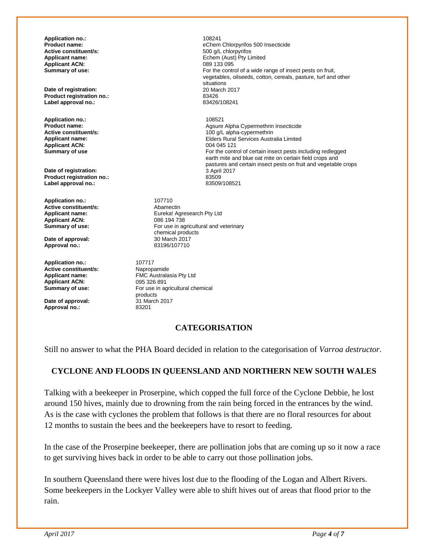**Application no.:** 108241 **Active constituent/s: Applicant ACN:**<br>Summary of use:

**Date of registration:** 20 March 20 March 20 March 20 March 20 March 20 March 20 March 2017 **Product registration no.:** 83426 **Label approval no.:** 

**Application no.:** 108521 **Applicant ACN:** 

**Date of registration:**  $\overline{3}$  April 2017 **Product registration no.:** 2017 **2017 Product registration no.:** 83509 **Label approval no.:** 

**Application no.:** 107710<br> **Active constituent/s:** Abamectin **Active constituent/s:**<br>Applicant name: **Applicant ACN:**<br>Summary of use:

Date of approval:<br>Approval no.:

**Application no.:** 107717<br> **Active constituent/s:** Napropamide **Active constituent/s:**<br>Applicant name: **Applicant ACN:** 095 326 891<br> **Summary of use:** For use in a

**Date of approval: Approval no.:** 83201

**eChem Chlorpyrifos 500 Insecticide 500 q/L chlorpyrifos Applicant name:**  $\begin{array}{ccc}\n\bullet & \bullet & \bullet & \bullet \\
\bullet & \bullet & \bullet & \bullet & \bullet \\
\bullet & \bullet & \bullet & \bullet & \bullet \\
\bullet & \bullet & \bullet & \bullet & \bullet \\
\bullet & \bullet & \bullet & \bullet & \bullet \\
\bullet & \bullet & \bullet & \bullet & \bullet \\
\bullet & \bullet & \bullet & \bullet & \bullet\n\end{array}$ For the control of a wide range of insect pests on fruit, vegetables, oilseeds, cotton, cereals, pasture, turf and other situations<br>20 March 2017

**Product name: Agsure Alpha Cypermethrin Insecticide**<br> **Active constituent/s: Active Constituent/s: Active Constituent/s: Agsure Alpha-Cypermethrin Active constituent/s:** <br> **Applicant name:** <br> **Applicant name:** <br> **Applicant name:** <br> **Applicant name:** <br> **Applicant name:** <br> **Applicant name:** <br> **Applicant name:** <br> **Applicant name:** <br> **Applicant name:** <br> **Applicant name:** Elders Rural Services Australia Limited<br>004 045 121 **Summary of use For the control of certain insect pests including redlegged Summary of use For the control of certain insect pests including redlegged** earth mite and blue oat mite on certain field crops and pastures and certain insect pests on fruit and vegetable crops

> Eureka! Agresearch Pty Ltd<br>086 194 738 For use in agricultural and veterinary chemical products<br>30 March 2017 **Approval no.:** 83196/107710

**FMC Australasia Pty Ltd** For use in agricultural chemical products<br>31 March 2017

#### **CATEGORISATION**

Still no answer to what the PHA Board decided in relation to the categorisation of *Varroa destructor*.

#### **CYCLONE AND FLOODS IN QUEENSLAND AND NORTHERN NEW SOUTH WALES**

Talking with a beekeeper in Proserpine, which copped the full force of the Cyclone Debbie, he lost around 150 hives, mainly due to drowning from the rain being forced in the entrances by the wind. As is the case with cyclones the problem that follows is that there are no floral resources for about 12 months to sustain the bees and the beekeepers have to resort to feeding.

In the case of the Proserpine beekeeper, there are pollination jobs that are coming up so it now a race to get surviving hives back in order to be able to carry out those pollination jobs.

In southern Queensland there were hives lost due to the flooding of the Logan and Albert Rivers. Some beekeepers in the Lockyer Valley were able to shift hives out of areas that flood prior to the rain.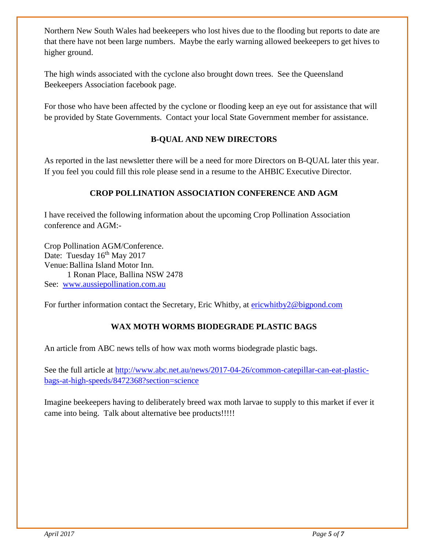Northern New South Wales had beekeepers who lost hives due to the flooding but reports to date are that there have not been large numbers. Maybe the early warning allowed beekeepers to get hives to higher ground.

The high winds associated with the cyclone also brought down trees. See the Queensland Beekeepers Association facebook page.

For those who have been affected by the cyclone or flooding keep an eye out for assistance that will be provided by State Governments. Contact your local State Government member for assistance.

#### **B-QUAL AND NEW DIRECTORS**

As reported in the last newsletter there will be a need for more Directors on B-QUAL later this year. If you feel you could fill this role please send in a resume to the AHBIC Executive Director.

#### **CROP POLLINATION ASSOCIATION CONFERENCE AND AGM**

I have received the following information about the upcoming Crop Pollination Association conference and AGM:-

Crop Pollination AGM/Conference. Date: Tuesday  $16^{th}$  May 2017 Venue:Ballina Island Motor Inn. 1 Ronan Place, Ballina NSW 2478 See: [www.aussiepollination.com.au](http://www.aussiepollination.com.au/)

For further information contact the Secretary, Eric Whitby, at [ericwhitby2@bigpond.com](mailto:ericwhitby2@bigpond.com)

#### **WAX MOTH WORMS BIODEGRADE PLASTIC BAGS**

An article from ABC news tells of how wax moth worms biodegrade plastic bags.

See the full article at [http://www.abc.net.au/news/2017-04-26/common-catepillar-can-eat-plastic](http://www.abc.net.au/news/2017-04-26/common-catepillar-can-eat-plastic-bags-at-high-speeds/8472368?section=science)[bags-at-high-speeds/8472368?section=science](http://www.abc.net.au/news/2017-04-26/common-catepillar-can-eat-plastic-bags-at-high-speeds/8472368?section=science)

Imagine beekeepers having to deliberately breed wax moth larvae to supply to this market if ever it came into being. Talk about alternative bee products!!!!!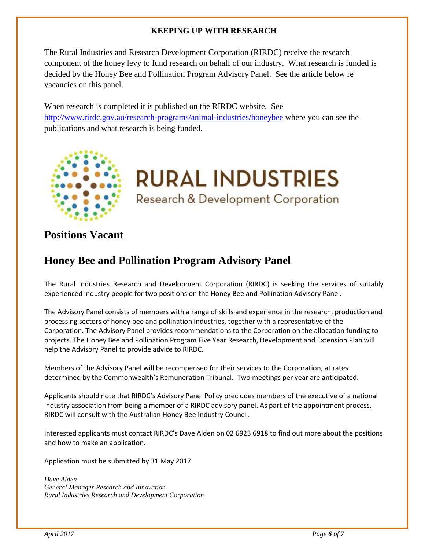#### **KEEPING UP WITH RESEARCH**

The Rural Industries and Research Development Corporation (RIRDC) receive the research component of the honey levy to fund research on behalf of our industry. What research is funded is decided by the Honey Bee and Pollination Program Advisory Panel. See the article below re vacancies on this panel.

When research is completed it is published on the RIRDC website. See <http://www.rirdc.gov.au/research-programs/animal-industries/honeybee> where you can see the publications and what research is being funded.



**RURAL INDUSTRIES** Research & Development Corporation

## **Positions Vacant**

### **Honey Bee and Pollination Program Advisory Panel**

The Rural Industries Research and Development Corporation (RIRDC) is seeking the services of suitably experienced industry people for two positions on the Honey Bee and Pollination Advisory Panel.

The Advisory Panel consists of members with a range of skills and experience in the research, production and processing sectors of honey bee and pollination industries, together with a representative of the Corporation. The Advisory Panel provides recommendations to the Corporation on the allocation funding to projects. The Honey Bee and Pollination Program Five Year Research, Development and Extension Plan will help the Advisory Panel to provide advice to RIRDC.

Members of the Advisory Panel will be recompensed for their services to the Corporation, at rates determined by the Commonwealth's Remuneration Tribunal. Two meetings per year are anticipated.

Applicants should note that RIRDC's Advisory Panel Policy precludes members of the executive of a national industry association from being a member of a RIRDC advisory panel. As part of the appointment process, RIRDC will consult with the Australian Honey Bee Industry Council.

Interested applicants must contact RIRDC's Dave Alden on 02 6923 6918 to find out more about the positions and how to make an application.

Application must be submitted by 31 May 2017.

*Dave Alden General Manager Research and Innovation Rural Industries Research and Development Corporation*